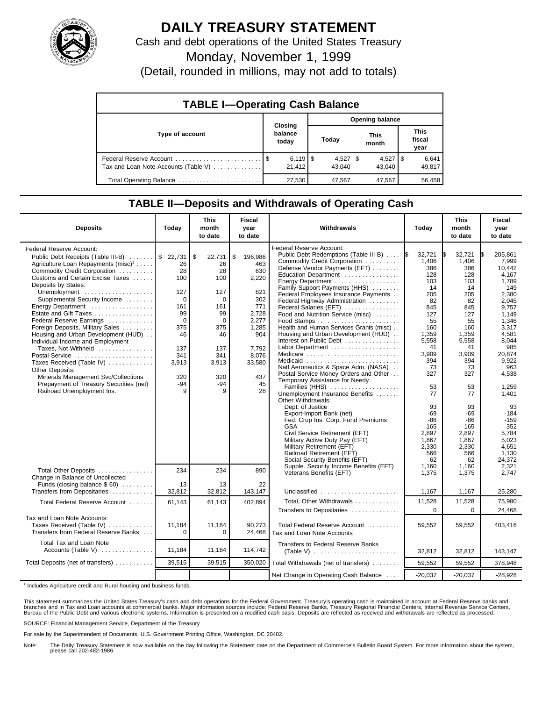

## **DAILY TREASURY STATEMENT**

Cash and debt operations of the United States Treasury

Monday, November 1, 1999

(Detail, rounded in millions, may not add to totals)

| <b>TABLE I-Operating Cash Balance</b> |  |                                  |  |                        |  |                      |  |                               |  |
|---------------------------------------|--|----------------------------------|--|------------------------|--|----------------------|--|-------------------------------|--|
| Type of account                       |  | Closing<br>balance<br>today      |  | Opening balance        |  |                      |  |                               |  |
|                                       |  |                                  |  | Today                  |  | <b>This</b><br>month |  | <b>This</b><br>fiscal<br>year |  |
| Tax and Loan Note Accounts (Table V)  |  | $6,119$ $\frac{15}{6}$<br>21.412 |  | $4,527$   \$<br>43.040 |  | $4,527$ S<br>43.040  |  | 6,641<br>49,817               |  |
| Total Operating Balance               |  | 27,530                           |  | 47,567                 |  | 47,567               |  | 56.458                        |  |

## **TABLE II—Deposits and Withdrawals of Operating Cash**

| <b>Deposits</b>                                                                                                                                   | Today                  | <b>This</b><br>month<br>to date | <b>Fiscal</b><br>year<br>to date | Withdrawals                                                                                                                                                  | Today                                | <b>This</b><br>month<br>to date      | <b>Fiscal</b><br>year<br>to date           |
|---------------------------------------------------------------------------------------------------------------------------------------------------|------------------------|---------------------------------|----------------------------------|--------------------------------------------------------------------------------------------------------------------------------------------------------------|--------------------------------------|--------------------------------------|--------------------------------------------|
| Federal Reserve Account:<br>Public Debt Receipts (Table III-B)<br>Agriculture Loan Repayments (misc) <sup>1</sup><br>Commodity Credit Corporation | \$22,731<br>26<br>28   | \$<br>22,731<br>26<br>28        | 196,986<br>\$<br>463<br>630      | <b>Federal Reserve Account:</b><br>Public Debt Redemptions (Table III-B)<br>Commodity Credit Corporation<br>Defense Vendor Payments (EFT)                    | 32,721<br>1\$<br>1,406<br>386        | 32,721<br>IS.<br>1,406<br>386        | 205,861<br>I\$<br>7,999<br>10.442          |
| Customs and Certain Excise Taxes<br>Deposits by States:                                                                                           | 100                    | 100                             | 2,220                            | Education Department<br>Energy Department<br>Family Support Payments (HHS)                                                                                   | 128<br>103<br>14                     | 128<br>103<br>14                     | 4,167<br>1.789<br>149                      |
| Unemployment<br>Supplemental Security Income<br>Energy Department                                                                                 | 127<br>$\Omega$<br>161 | 127<br>$\Omega$<br>161          | 821<br>302<br>771                | Federal Employees Insurance Payments<br>Federal Highway Administration<br>Federal Salaries (EFT)                                                             | 205<br>82<br>845                     | 205<br>82<br>845                     | 2,380<br>2.045<br>9,757                    |
| Estate and Gift Taxes<br>Federal Reserve Earnings                                                                                                 | 99<br>$\Omega$         | 99<br>0                         | 2.728<br>2,277                   | Food and Nutrition Service (misc)                                                                                                                            | 127<br>55                            | 127<br>55                            | 1.149<br>1.346                             |
| Foreign Deposits, Military Sales<br>Housing and Urban Development (HUD)<br>Individual Income and Employment                                       | 375<br>46              | 375<br>46                       | 1,285<br>904                     | Health and Human Services Grants (misc)<br>Housing and Urban Development (HUD)<br>Interest on Public Debt                                                    | 160<br>1.359<br>5,558                | 160<br>1.359<br>5,558                | 3,317<br>4.581<br>8,044                    |
| Taxes, Not Withheld<br>Postal Service<br>Taxes Received (Table IV)                                                                                | 137<br>341<br>3,913    | 137<br>341<br>3,913             | 7,792<br>8,076<br>33,580         | Labor Department<br>Medicare<br>Medicaid                                                                                                                     | 41<br>3,909<br>394                   | 41<br>3,909<br>394                   | 985<br>20,874<br>9.922                     |
| Other Deposits:<br>Minerals Management Svc/Collections                                                                                            | 320                    | 320                             | 437                              | Natl Aeronautics & Space Adm. (NASA)<br>Postal Service Money Orders and Other<br>Temporary Assistance for Needy                                              | 73<br>327                            | 73<br>327                            | 963<br>4,538                               |
| Prepayment of Treasury Securities (net)<br>Railroad Unemployment Ins.                                                                             | -94                    | $-94$<br>9                      | 45<br>28                         | Families (HHS)<br>Unemployment Insurance Benefits<br>Other Withdrawals:                                                                                      | 53<br>77                             | 53<br>77                             | 1,259<br>1,401                             |
|                                                                                                                                                   |                        |                                 |                                  | Dept. of Justice<br>Export-Import Bank (net)<br>Fed. Crop Ins. Corp. Fund Premiums<br><b>GSA</b>                                                             | 93<br>$-69$<br>-86<br>165            | 93<br>$-69$<br>$-86$<br>165          | 93<br>$-184$<br>$-159$<br>352              |
|                                                                                                                                                   |                        |                                 |                                  | Civil Service Retirement (EFT)<br>Military Active Duty Pay (EFT)<br>Military Retirement (EFT)<br>Railroad Retirement (EFT)<br>Social Security Benefits (EFT) | 2,897<br>1,867<br>2,330<br>566<br>62 | 2,897<br>1,867<br>2,330<br>566<br>62 | 5.784<br>5,023<br>4,651<br>1,130<br>24,372 |
| Total Other Deposits<br>Change in Balance of Uncollected                                                                                          | 234                    | 234                             | 890                              | Supple. Security Income Benefits (EFT)<br>Veterans Benefits (EFT)                                                                                            | 1.160<br>1,375                       | 1.160<br>1,375                       | 2.321<br>2.747                             |
| Funds (closing balance $$60$ )<br>Transfers from Depositaries                                                                                     | 13<br>32,812           | 13<br>32,812                    | 22<br>143,147                    | Unclassified $\ldots \ldots \ldots \ldots \ldots \ldots$                                                                                                     | 1,167                                | 1,167                                | 25,280                                     |
| Total Federal Reserve Account                                                                                                                     | 61,143                 | 61,143                          | 402,894                          | Total, Other Withdrawals<br>Transfers to Depositaries                                                                                                        | 11,528<br>$\Omega$                   | 11,528<br>$\Omega$                   | 75,980<br>24,468                           |
| Tax and Loan Note Accounts:<br>Taxes Received (Table IV)<br>Transfers from Federal Reserve Banks                                                  | 11,184<br>$\Omega$     | 11,184<br>0                     | 90,273<br>24,468                 | Total Federal Reserve Account<br>Tax and Loan Note Accounts                                                                                                  | 59,552                               | 59,552                               | 403,416                                    |
| Total Tax and Loan Note<br>Accounts (Table V)                                                                                                     | 11,184                 | 11,184                          | 114,742                          | Transfers to Federal Reserve Banks                                                                                                                           | 32,812                               | 32,812                               | 143,147                                    |
| Total Deposits (net of transfers)                                                                                                                 | 39,515                 | 39,515                          | 350,020                          | Total Withdrawals (net of transfers)                                                                                                                         | 59,552                               | 59,552                               | 378,948                                    |
|                                                                                                                                                   |                        |                                 |                                  | Net Change in Operating Cash Balance                                                                                                                         | $-20.037$                            | $-20,037$                            | $-28,928$                                  |

<sup>1</sup> Includes Agriculture credit and Rural housing and business funds.

This statement summarizes the United States Treasury's cash and debt operations for the Federal Government. Treasury's operating cash is maintained in account at Federal Reserve banks and<br>branches and in Tax and Loan accou

SOURCE: Financial Management Service, Department of the Treasury

For sale by the Superintendent of Documents, U.S. Government Printing Office, Washington, DC 20402.

Note: The Daily Treasury Statement is now available on the day following the Statement date on the Department of Commerce's Bulletin Board System. For more information about the system, please call 202-482-1986.